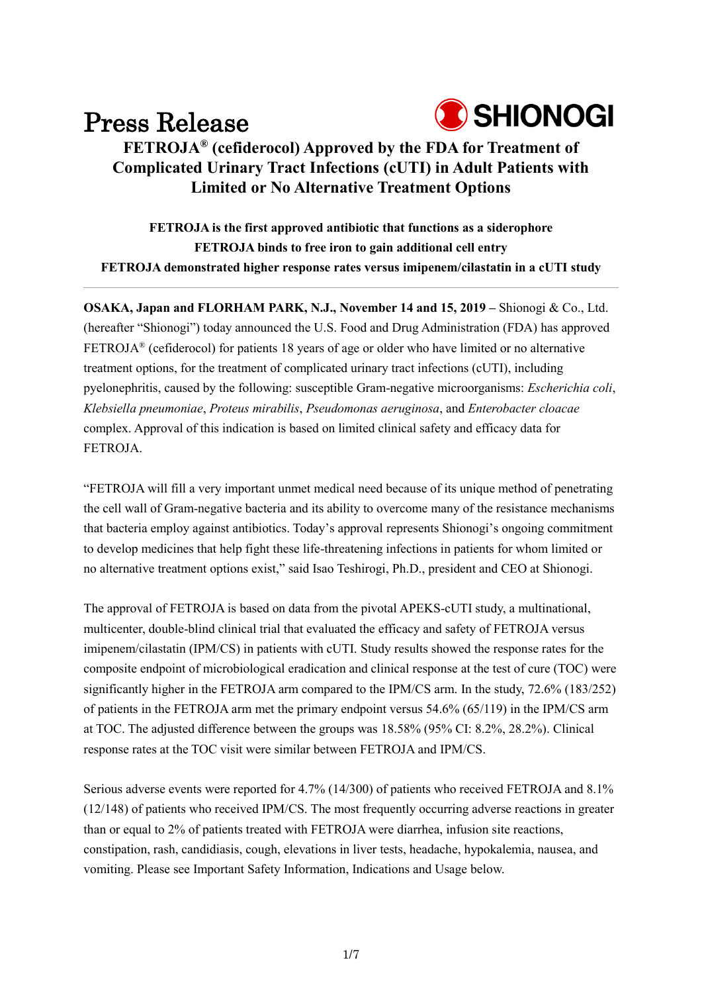

### **FETROJA® (cefiderocol) Approved by the FDA for Treatment of Complicated Urinary Tract Infections (cUTI) in Adult Patients with Limited or No Alternative Treatment Options**

**FETROJA is the first approved antibiotic that functions as a siderophore FETROJA binds to free iron to gain additional cell entry FETROJA demonstrated higher response rates versus imipenem/cilastatin in a cUTI study** 

**OSAKA, Japan and FLORHAM PARK, N.J., November 14 and 15, 2019 –** Shionogi & Co., Ltd. (hereafter "Shionogi") today announced the U.S. Food and Drug Administration (FDA) has approved FETROJA® (cefiderocol) for patients 18 years of age or older who have limited or no alternative treatment options, for the treatment of complicated urinary tract infections (cUTI), including pyelonephritis, caused by the following: susceptible Gram-negative microorganisms: *Escherichia coli*, *Klebsiella pneumoniae*, *Proteus mirabilis*, *Pseudomonas aeruginosa*, and *Enterobacter cloacae*  complex. Approval of this indication is based on limited clinical safety and efficacy data for FETROJA.

"FETROJA will fill a very important unmet medical need because of its unique method of penetrating the cell wall of Gram-negative bacteria and its ability to overcome many of the resistance mechanisms that bacteria employ against antibiotics. Today's approval represents Shionogi's ongoing commitment to develop medicines that help fight these life-threatening infections in patients for whom limited or no alternative treatment options exist," said Isao Teshirogi, Ph.D., president and CEO at Shionogi.

The approval of FETROJA is based on data from the pivotal APEKS-cUTI study, a multinational, multicenter, double-blind clinical trial that evaluated the efficacy and safety of FETROJA versus imipenem/cilastatin (IPM/CS) in patients with cUTI. Study results showed the response rates for the composite endpoint of microbiological eradication and clinical response at the test of cure (TOC) were significantly higher in the FETROJA arm compared to the IPM/CS arm. In the study, 72.6% (183/252) of patients in the FETROJA arm met the primary endpoint versus 54.6% (65/119) in the IPM/CS arm at TOC. The adjusted difference between the groups was 18.58% (95% CI: 8.2%, 28.2%). Clinical response rates at the TOC visit were similar between FETROJA and IPM/CS.

Serious adverse events were reported for 4.7% (14/300) of patients who received FETROJA and 8.1% (12/148) of patients who received IPM/CS. The most frequently occurring adverse reactions in greater than or equal to 2% of patients treated with FETROJA were diarrhea, infusion site reactions, constipation, rash, candidiasis, cough, elevations in liver tests, headache, hypokalemia, nausea, and vomiting. Please see Important Safety Information, Indications and Usage below.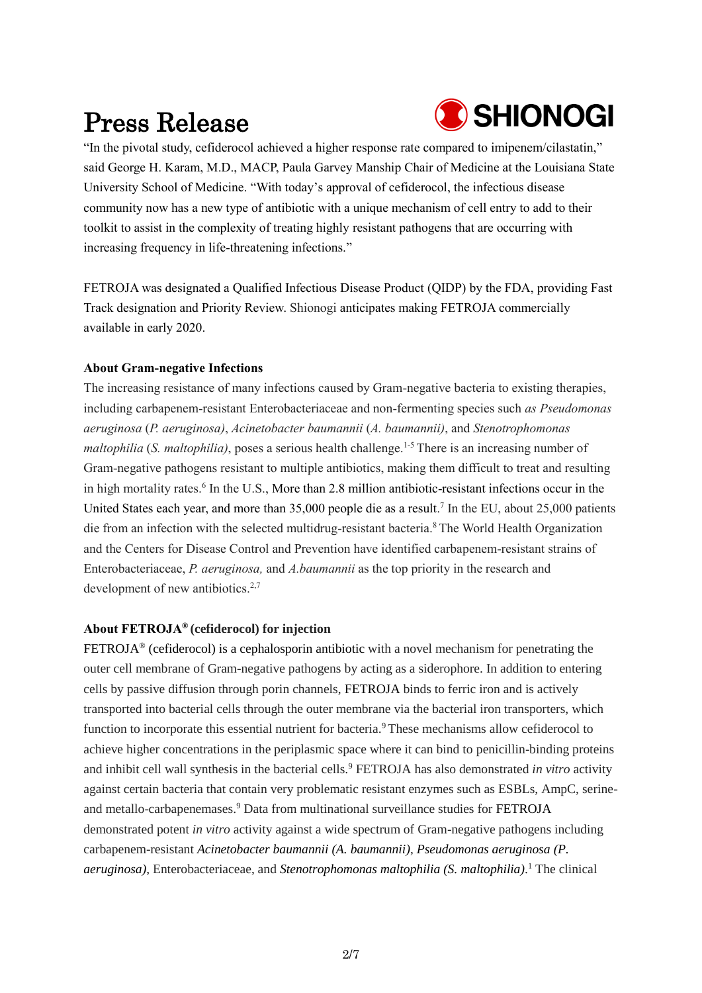

"In the pivotal study, cefiderocol achieved a higher response rate compared to imipenem/cilastatin," said George H. Karam, M.D., MACP, Paula Garvey Manship Chair of Medicine at the Louisiana State University School of Medicine. "With today's approval of cefiderocol, the infectious disease community now has a new type of antibiotic with a unique mechanism of cell entry to add to their toolkit to assist in the complexity of treating highly resistant pathogens that are occurring with increasing frequency in life-threatening infections."

FETROJA was designated a Qualified Infectious Disease Product (QIDP) by the FDA, providing Fast Track designation and Priority Review. Shionogi anticipates making FETROJA commercially available in early 2020.

#### **About Gram-negative Infections**

The increasing resistance of many infections caused by Gram-negative bacteria to existing therapies, including carbapenem-resistant Enterobacteriaceae and non-fermenting species such *as Pseudomonas aeruginosa* (*P. aeruginosa)*, *Acinetobacter baumannii* (*A. baumannii)*, and *Stenotrophomonas maltophilia* (*S. maltophilia*), poses a serious health challenge.<sup>1-5</sup> There is an increasing number of Gram-negative pathogens resistant to multiple antibiotics, making them difficult to treat and resulting in high mortality rates.<sup>6</sup> In the U.S., More than 2.8 million antibiotic-resistant infections occur in the United States each year, and more than 35,000 people die as a result.<sup>7</sup> In the EU, about 25,000 patients die from an infection with the selected multidrug-resistant bacteria.<sup>8</sup>The World Health Organization and the Centers for Disease Control and Prevention have identified carbapenem-resistant strains of Enterobacteriaceae, *P. aeruginosa,* and *A.baumannii* as the top priority in the research and development of new antibiotics.<sup>2,7</sup>

#### **About FETROJA® (cefiderocol) for injection**

 $FETROJA<sup>®</sup>$  (cefiderocol) is a cephalosporin antibiotic with a novel mechanism for penetrating the outer cell membrane of Gram-negative pathogens by acting as a siderophore. In addition to entering cells by passive diffusion through porin channels, FETROJA binds to ferric iron and is actively transported into bacterial cells through the outer membrane via the bacterial iron transporters, which function to incorporate this essential nutrient for bacteria.<sup>9</sup>These mechanisms allow cefiderocol to achieve higher concentrations in the periplasmic space where it can bind to penicillin-binding proteins and inhibit cell wall synthesis in the bacterial cells.<sup>9</sup> FETROJA has also demonstrated *in vitro* activity against certain bacteria that contain very problematic resistant enzymes such as ESBLs, AmpC, serineand metallo-carbapenemases. <sup>9</sup> Data from multinational surveillance studies for FETROJA demonstrated potent *in vitro* activity against a wide spectrum of Gram-negative pathogens including carbapenem-resistant *Acinetobacter baumannii (A. baumannii)*, *Pseudomonas aeruginosa (P. aeruginosa)*, Enterobacteriaceae, and *Stenotrophomonas maltophilia (S. maltophilia)*. <sup>1</sup> The clinical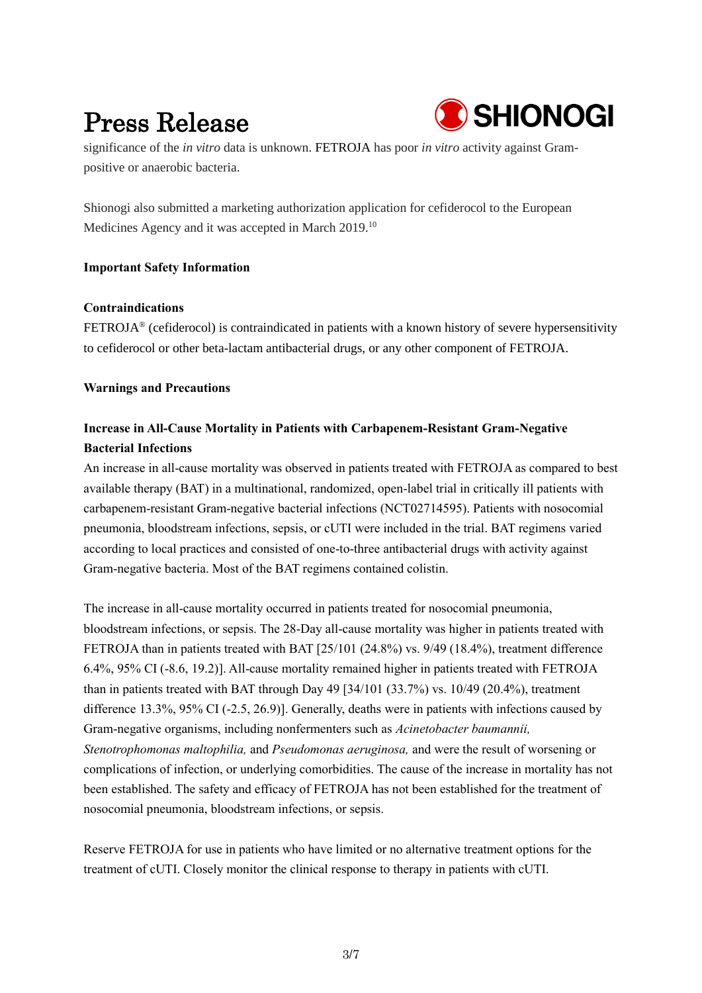

significance of the *in vitro* data is unknown. FETROJA has poor *in vitro* activity against Grampositive or anaerobic bacteria.

Shionogi also submitted a marketing authorization application for cefiderocol to the European Medicines Agency and it was accepted in March 2019.<sup>10</sup>

#### **Important Safety Information**

#### **Contraindications**

FETROJA® (cefiderocol) is contraindicated in patients with a known history of severe hypersensitivity to cefiderocol or other beta-lactam antibacterial drugs, or any other component of FETROJA.

#### **Warnings and Precautions**

#### **Increase in All-Cause Mortality in Patients with Carbapenem-Resistant Gram-Negative Bacterial Infections**

An increase in all-cause mortality was observed in patients treated with FETROJA as compared to best available therapy (BAT) in a multinational, randomized, open-label trial in critically ill patients with carbapenem-resistant Gram-negative bacterial infections (NCT02714595). Patients with nosocomial pneumonia, bloodstream infections, sepsis, or cUTI were included in the trial. BAT regimens varied according to local practices and consisted of one-to-three antibacterial drugs with activity against Gram-negative bacteria. Most of the BAT regimens contained colistin.

The increase in all-cause mortality occurred in patients treated for nosocomial pneumonia, bloodstream infections, or sepsis. The 28-Day all-cause mortality was higher in patients treated with FETROJA than in patients treated with BAT [25/101 (24.8%) vs. 9/49 (18.4%), treatment difference 6.4%, 95% CI (-8.6, 19.2)]. All-cause mortality remained higher in patients treated with FETROJA than in patients treated with BAT through Day 49 [34/101 (33.7%) vs. 10/49 (20.4%), treatment difference 13.3%, 95% CI (-2.5, 26.9)]. Generally, deaths were in patients with infections caused by Gram-negative organisms, including nonfermenters such as *Acinetobacter baumannii, Stenotrophomonas maltophilia,* and *Pseudomonas aeruginosa,* and were the result of worsening or complications of infection, or underlying comorbidities. The cause of the increase in mortality has not been established. The safety and efficacy of FETROJA has not been established for the treatment of nosocomial pneumonia, bloodstream infections, or sepsis.

Reserve FETROJA for use in patients who have limited or no alternative treatment options for the treatment of cUTI. Closely monitor the clinical response to therapy in patients with cUTI.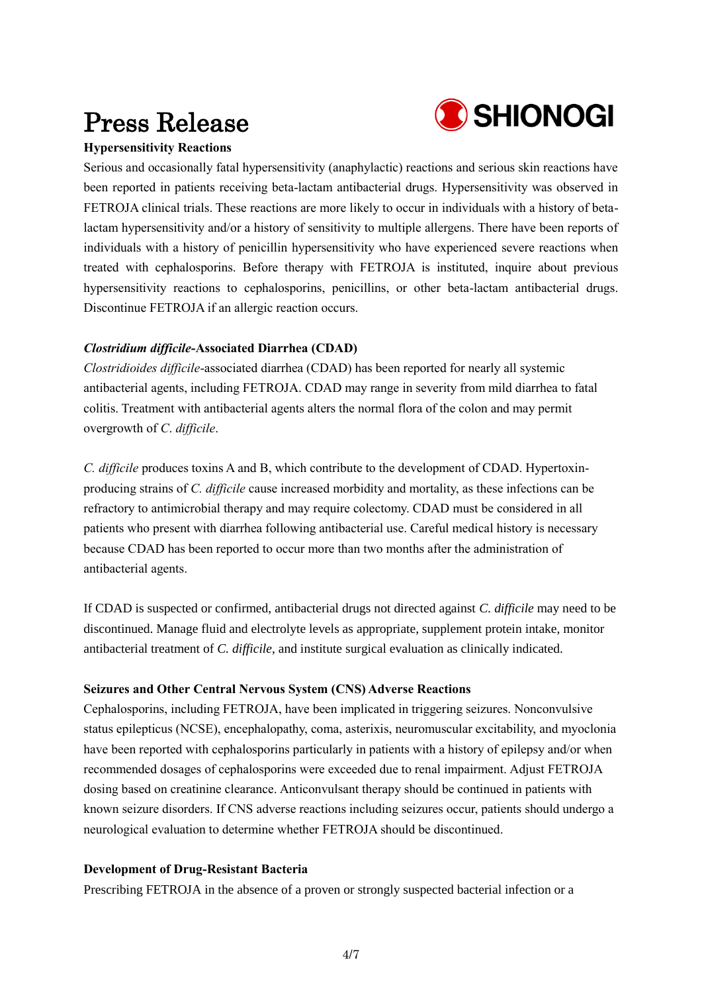

#### **Hypersensitivity Reactions**

Serious and occasionally fatal hypersensitivity (anaphylactic) reactions and serious skin reactions have been reported in patients receiving beta-lactam antibacterial drugs. Hypersensitivity was observed in FETROJA clinical trials. These reactions are more likely to occur in individuals with a history of betalactam hypersensitivity and/or a history of sensitivity to multiple allergens. There have been reports of individuals with a history of penicillin hypersensitivity who have experienced severe reactions when treated with cephalosporins. Before therapy with FETROJA is instituted, inquire about previous hypersensitivity reactions to cephalosporins, penicillins, or other beta-lactam antibacterial drugs. Discontinue FETROJA if an allergic reaction occurs.

#### *Clostridium difficile***-Associated Diarrhea (CDAD)**

*Clostridioides difficile*-associated diarrhea (CDAD) has been reported for nearly all systemic antibacterial agents, including FETROJA. CDAD may range in severity from mild diarrhea to fatal colitis. Treatment with antibacterial agents alters the normal flora of the colon and may permit overgrowth of *C*. *difficile*.

*C. difficile* produces toxins A and B, which contribute to the development of CDAD. Hypertoxinproducing strains of *C. difficile* cause increased morbidity and mortality, as these infections can be refractory to antimicrobial therapy and may require colectomy. CDAD must be considered in all patients who present with diarrhea following antibacterial use. Careful medical history is necessary because CDAD has been reported to occur more than two months after the administration of antibacterial agents.

If CDAD is suspected or confirmed, antibacterial drugs not directed against *C. difficile* may need to be discontinued. Manage fluid and electrolyte levels as appropriate, supplement protein intake, monitor antibacterial treatment of *C. difficile*, and institute surgical evaluation as clinically indicated.

#### **Seizures and Other Central Nervous System (CNS) Adverse Reactions**

Cephalosporins, including FETROJA, have been implicated in triggering seizures. Nonconvulsive status epilepticus (NCSE), encephalopathy, coma, asterixis, neuromuscular excitability, and myoclonia have been reported with cephalosporins particularly in patients with a history of epilepsy and/or when recommended dosages of cephalosporins were exceeded due to renal impairment. Adjust FETROJA dosing based on creatinine clearance. Anticonvulsant therapy should be continued in patients with known seizure disorders. If CNS adverse reactions including seizures occur, patients should undergo a neurological evaluation to determine whether FETROJA should be discontinued.

#### **Development of Drug-Resistant Bacteria**

Prescribing FETROJA in the absence of a proven or strongly suspected bacterial infection or a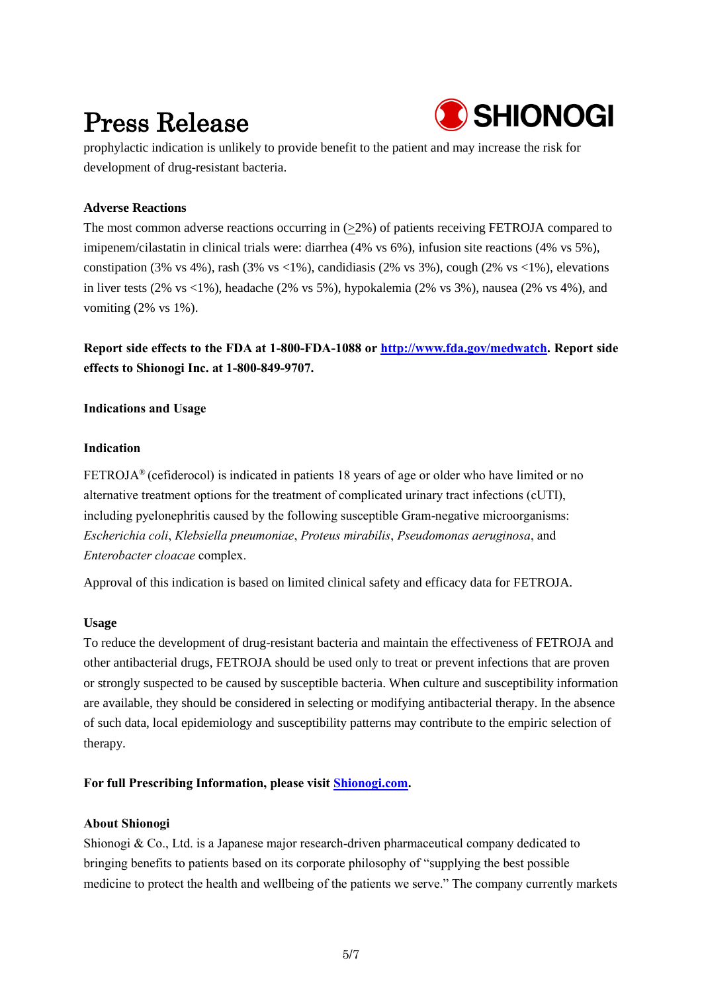

prophylactic indication is unlikely to provide benefit to the patient and may increase the risk for development of drug-resistant bacteria.

#### **Adverse Reactions**

The most common adverse reactions occurring in  $(>2%)$  of patients receiving FETROJA compared to imipenem/cilastatin in clinical trials were: diarrhea (4% vs 6%), infusion site reactions (4% vs 5%), constipation (3% vs 4%), rash (3% vs <1%), candidiasis (2% vs 3%), cough (2% vs <1%), elevations in liver tests (2% vs <1%), headache (2% vs 5%), hypokalemia (2% vs 3%), nausea (2% vs 4%), and vomiting (2% vs 1%).

**Report side effects to the FDA at 1-800-FDA-1088 or [http://www.fda.gov/medwatch.](http://www.fda.gov/medwatch) Report side effects to Shionogi Inc. at 1-800-849-9707.** 

#### **Indications and Usage**

#### **Indication**

FETROJA® (cefiderocol) is indicated in patients 18 years of age or older who have limited or no alternative treatment options for the treatment of complicated urinary tract infections (cUTI), including pyelonephritis caused by the following susceptible Gram-negative microorganisms: *Escherichia coli*, *Klebsiella pneumoniae*, *Proteus mirabilis*, *Pseudomonas aeruginosa*, and *Enterobacter cloacae* complex.

Approval of this indication is based on limited clinical safety and efficacy data for FETROJA.

#### **Usage**

To reduce the development of drug-resistant bacteria and maintain the effectiveness of FETROJA and other antibacterial drugs, FETROJA should be used only to treat or prevent infections that are proven or strongly suspected to be caused by susceptible bacteria. When culture and susceptibility information are available, they should be considered in selecting or modifying antibacterial therapy. In the absence of such data, local epidemiology and susceptibility patterns may contribute to the empiric selection of therapy.

#### **For full Prescribing Information, please visit [Shionogi.com.](https://www.shionogi.com/wp-content/themes/pdfs/fetroja.pdf)**

#### **About Shionogi**

Shionogi & Co., Ltd. is a Japanese major research-driven pharmaceutical company dedicated to bringing benefits to patients based on its corporate philosophy of "supplying the best possible medicine to protect the health and wellbeing of the patients we serve." The company currently markets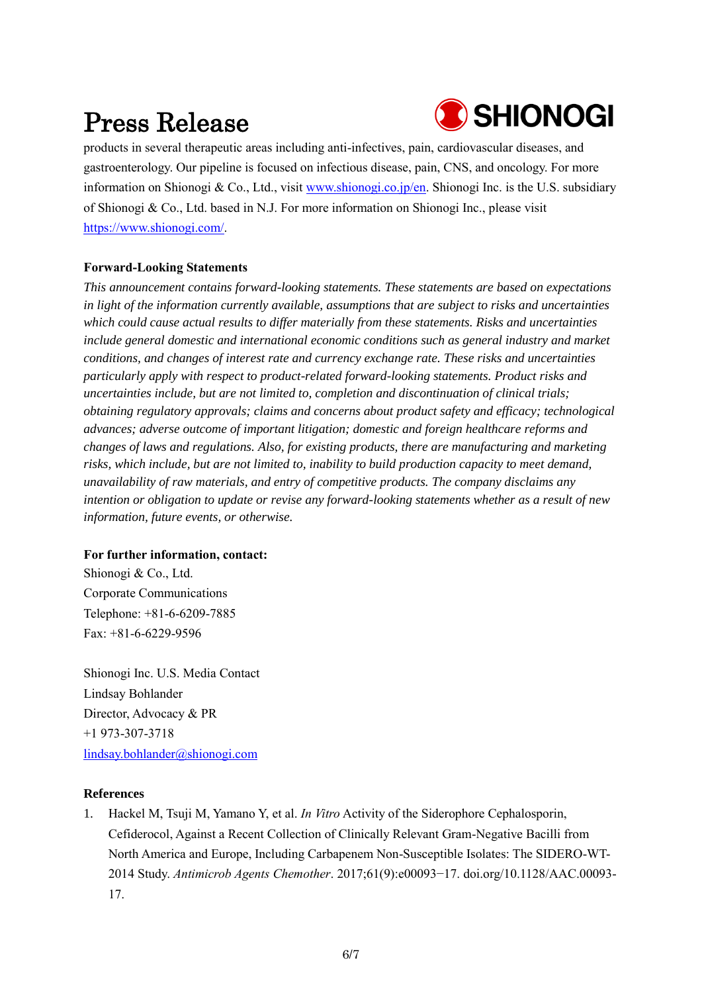

products in several therapeutic areas including anti-infectives, pain, cardiovascular diseases, and gastroenterology. Our pipeline is focused on infectious disease, pain, CNS, and oncology. For more information on Shionogi & Co., Ltd., visit [www.shionogi.co.jp/en.](http://www.shionogi.co.jp/en/) Shionogi Inc. is the U.S. subsidiary of Shionogi & Co., Ltd. based in N.J. For more information on Shionogi Inc., please visit [https://www.shionogi.com/.](https://www.shionogi.com/)

#### **Forward-Looking Statements**

*This announcement contains forward-looking statements. These statements are based on expectations in light of the information currently available, assumptions that are subject to risks and uncertainties which could cause actual results to differ materially from these statements. Risks and uncertainties include general domestic and international economic conditions such as general industry and market conditions, and changes of interest rate and currency exchange rate. These risks and uncertainties particularly apply with respect to product-related forward-looking statements. Product risks and uncertainties include, but are not limited to, completion and discontinuation of clinical trials; obtaining regulatory approvals; claims and concerns about product safety and efficacy; technological advances; adverse outcome of important litigation; domestic and foreign healthcare reforms and changes of laws and regulations. Also, for existing products, there are manufacturing and marketing risks, which include, but are not limited to, inability to build production capacity to meet demand, unavailability of raw materials, and entry of competitive products. The company disclaims any intention or obligation to update or revise any forward-looking statements whether as a result of new information, future events, or otherwise.*

#### **For further information, contact:**

Shionogi & Co., Ltd. Corporate Communications Telephone: +81-6-6209-7885 Fax: +81-6-6229-9596

Shionogi Inc. U.S. Media Contact Lindsay Bohlander Director, Advocacy & PR +1 973-307-3718 [lindsay.bohlander@shionogi.com](mailto:lindsay.bohlander@shionogi.com)

#### **References**

1. Hackel M, Tsuji M, Yamano Y, et al. *In Vitro* Activity of the Siderophore Cephalosporin, Cefiderocol, Against a Recent Collection of Clinically Relevant Gram-Negative Bacilli from North America and Europe, Including Carbapenem Non-Susceptible Isolates: The SIDERO-WT-2014 Study. *Antimicrob Agents Chemother*. 2017;61(9):e00093−17. doi.org/10.1128/AAC.00093- 17.